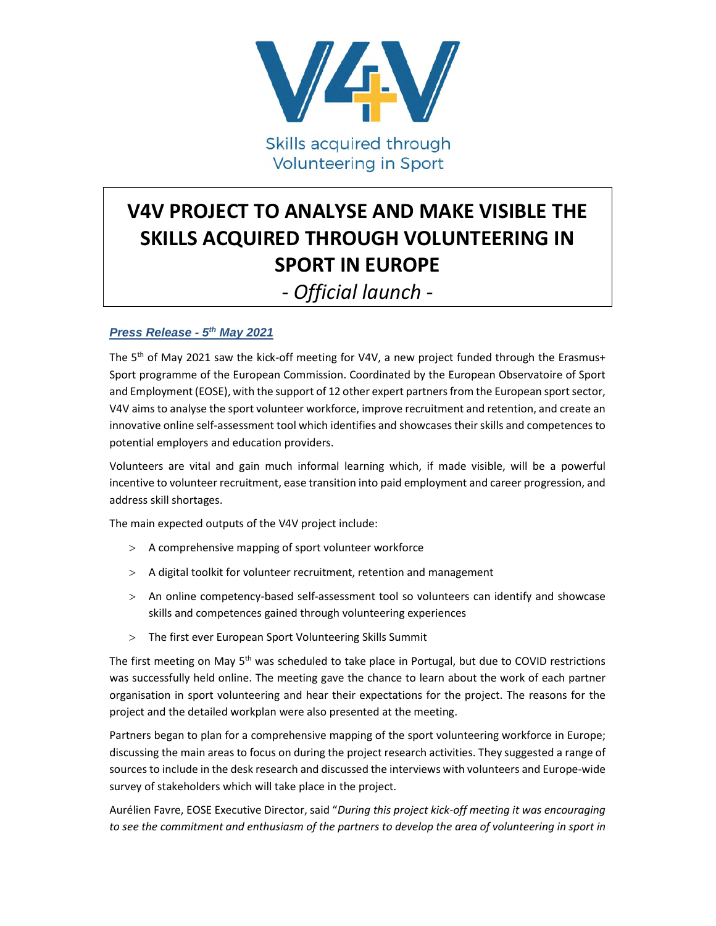

## **V4V PROJECT TO ANALYSE AND MAKE VISIBLE THE SKILLS ACQUIRED THROUGH VOLUNTEERING IN SPORT IN EUROPE**

## *- Official launch -*

## *Press Release - 5th May 2021*

The 5<sup>th</sup> of May 2021 saw the kick-off meeting for V4V, a new project funded through the Erasmus+ Sport programme of the European Commission. Coordinated by the European Observatoire of Sport and Employment (EOSE), with the support of 12 other expert partners from the European sport sector, V4V aims to analyse the sport volunteer workforce, improve recruitment and retention, and create an innovative online self-assessment tool which identifies and showcases their skills and competences to potential employers and education providers.

Volunteers are vital and gain much informal learning which, if made visible, will be a powerful incentive to volunteer recruitment, ease transition into paid employment and career progression, and address skill shortages.

The main expected outputs of the V4V project include:

- A comprehensive mapping of sport volunteer workforce
- > A digital toolkit for volunteer recruitment, retention and management
- An online competency-based self-assessment tool so volunteers can identify and showcase skills and competences gained through volunteering experiences
- The first ever European Sport Volunteering Skills Summit

The first meeting on May 5<sup>th</sup> was scheduled to take place in Portugal, but due to COVID restrictions was successfully held online. The meeting gave the chance to learn about the work of each partner organisation in sport volunteering and hear their expectations for the project. The reasons for the project and the detailed workplan were also presented at the meeting.

Partners began to plan for a comprehensive mapping of the sport volunteering workforce in Europe; discussing the main areas to focus on during the project research activities. They suggested a range of sources to include in the desk research and discussed the interviews with volunteers and Europe-wide survey of stakeholders which will take place in the project.

Aurélien Favre, EOSE Executive Director, said "*During this project kick-off meeting it was encouraging to see the commitment and enthusiasm of the partners to develop the area of volunteering in sport in*